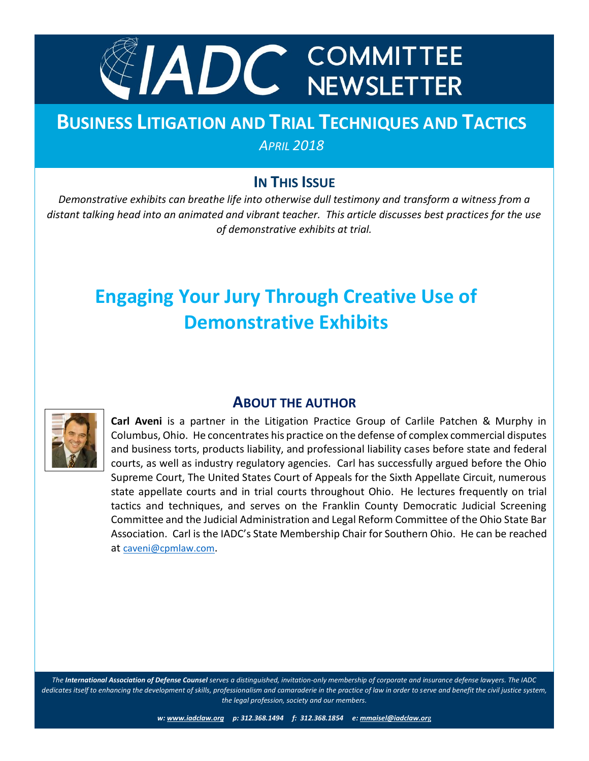

# **BUSINESS LITIGATION AND TRIAL TECHNIQUES AND TACTICS** *APRIL 2018*

## **IN THIS ISSUE**

*Demonstrative exhibits can breathe life into otherwise dull testimony and transform a witness from a October 2014 distant talking head into an animated and vibrant teacher. This article discusses best practices for the use of demonstrative exhibits at trial.*

# **Engaging Your Jury Through Creative Use of Demonstrative Exhibits**



## **ABOUT THE AUTHOR**

**Carl Aveni** is a partner in the Litigation Practice Group of Carlile Patchen & Murphy in Columbus, Ohio. He concentrates his practice on the defense of complex commercial disputes and business torts, products liability, and professional liability cases before state and federal courts, as well as industry regulatory agencies. Carl has successfully argued before the Ohio Supreme Court, The United States Court of Appeals for the Sixth Appellate Circuit, numerous state appellate courts and in trial courts throughout Ohio. He lectures frequently on trial tactics and techniques, and serves on the Franklin County Democratic Judicial Screening Committee and the Judicial Administration and Legal Reform Committee of the Ohio State Bar Association. Carl is the IADC's State Membership Chair for Southern Ohio. He can be reached at [caveni@cpmlaw.com](mailto:caveni@cpmlaw.com).

*The International Association of Defense Counsel serves a distinguished, invitation-only membership of corporate and insurance defense lawyers. The IADC dedicates itself to enhancing the development of skills, professionalism and camaraderie in the practice of law in order to serve and benefit the civil justice system, the legal profession, society and our members.*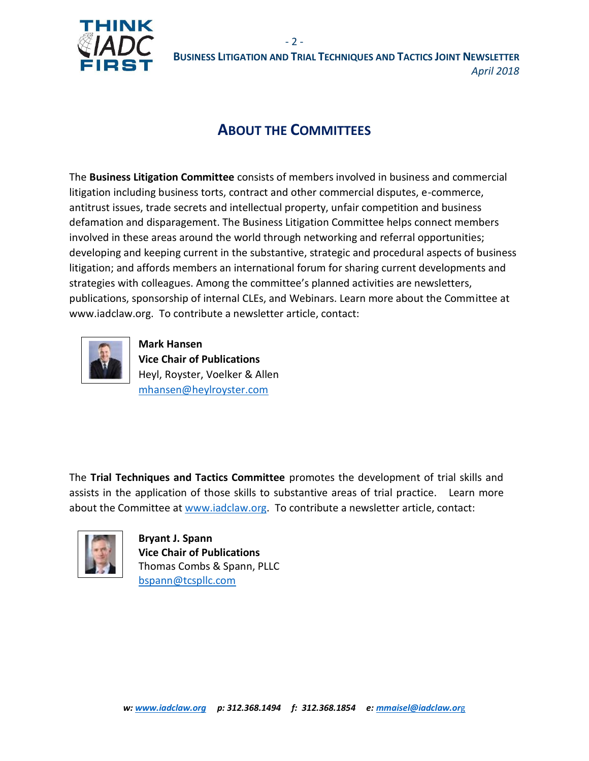

# **ABOUT THE COMMITTEES**

 $-2 -$ 

The **Business Litigation Committee** consists of members involved in business and commercial litigation including business torts, contract and other commercial disputes, e-commerce, antitrust issues, trade secrets and intellectual property, unfair competition and business defamation and disparagement. The Business Litigation Committee helps connect members involved in these areas around the world through networking and referral opportunities; developing and keeping current in the substantive, strategic and procedural aspects of business litigation; and affords members an international forum for sharing current developments and strategies with colleagues. Among the committee's planned activities are newsletters, publications, sponsorship of internal CLEs, and Webinars. Learn more about the Committee at www.iadclaw.org. To contribute a newsletter article, contact:



**Mark Hansen Vice Chair of Publications** Heyl, Royster, Voelker & Allen [mhansen@heylroyster.com](mailto:mhansen@heylroyster.com)

The **Trial Techniques and Tactics Committee** promotes the development of trial skills and assists in the application of those skills to substantive areas of trial practice. Learn more about the Committee at [www.iadclaw.org.](http://www.iadclaw.org/) To contribute a newsletter article, contact:



**Bryant J. Spann Vice Chair of Publications** Thomas Combs & Spann, PLLC [bspann@tcspllc.com](mailto:bspann@tcspllc.com)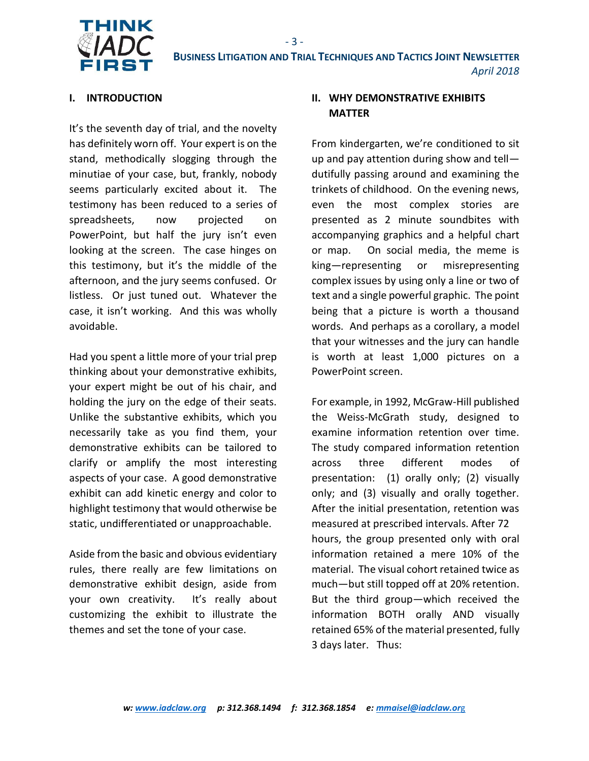

- 3 -

#### **I. INTRODUCTION**

It's the seventh day of trial, and the novelty has definitely worn off. Your expert is on the stand, methodically slogging through the minutiae of your case, but, frankly, nobody seems particularly excited about it. The testimony has been reduced to a series of spreadsheets, now projected on PowerPoint, but half the jury isn't even looking at the screen. The case hinges on this testimony, but it's the middle of the afternoon, and the jury seems confused. Or listless. Or just tuned out. Whatever the case, it isn't working. And this was wholly avoidable.

Had you spent a little more of your trial prep thinking about your demonstrative exhibits, your expert might be out of his chair, and holding the jury on the edge of their seats. Unlike the substantive exhibits, which you necessarily take as you find them, your demonstrative exhibits can be tailored to clarify or amplify the most interesting aspects of your case. A good demonstrative exhibit can add kinetic energy and color to highlight testimony that would otherwise be static, undifferentiated or unapproachable.

Aside from the basic and obvious evidentiary rules, there really are few limitations on demonstrative exhibit design, aside from your own creativity. It's really about customizing the exhibit to illustrate the themes and set the tone of your case.

#### **II. WHY DEMONSTRATIVE EXHIBITS MATTER**

From kindergarten, we're conditioned to sit up and pay attention during show and tell dutifully passing around and examining the trinkets of childhood. On the evening news, even the most complex stories are presented as 2 minute soundbites with accompanying graphics and a helpful chart or map. On social media, the meme is king—representing or misrepresenting complex issues by using only a line or two of text and a single powerful graphic. The point being that a picture is worth a thousand words. And perhaps as a corollary, a model that your witnesses and the jury can handle is worth at least 1,000 pictures on a PowerPoint screen.

For example, in 1992, McGraw-Hill published the Weiss-McGrath study, designed to examine information retention over time. The study compared information retention across three different modes of presentation: (1) orally only; (2) visually only; and (3) visually and orally together. After the initial presentation, retention was measured at prescribed intervals. After 72 hours, the group presented only with oral information retained a mere 10% of the material. The visual cohort retained twice as much—but still topped off at 20% retention. But the third group—which received the information BOTH orally AND visually retained 65% of the material presented, fully 3 days later. Thus: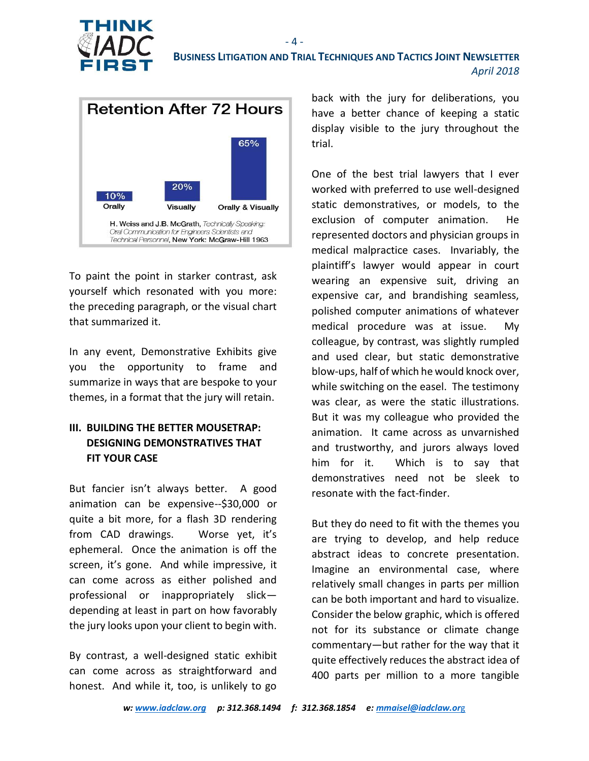



To paint the point in starker contrast, ask yourself which resonated with you more: the preceding paragraph, or the visual chart that summarized it.

In any event, Demonstrative Exhibits give you the opportunity to frame and summarize in ways that are bespoke to your themes, in a format that the jury will retain.

#### **III. BUILDING THE BETTER MOUSETRAP: DESIGNING DEMONSTRATIVES THAT FIT YOUR CASE**

But fancier isn't always better. A good animation can be expensive--\$30,000 or quite a bit more, for a flash 3D rendering from CAD drawings. Worse yet, it's ephemeral. Once the animation is off the screen, it's gone. And while impressive, it can come across as either polished and professional or inappropriately slick depending at least in part on how favorably the jury looks upon your client to begin with.

By contrast, a well-designed static exhibit can come across as straightforward and honest. And while it, too, is unlikely to go

back with the jury for deliberations, you have a better chance of keeping a static display visible to the jury throughout the trial.

One of the best trial lawyers that I ever worked with preferred to use well-designed static demonstratives, or models, to the exclusion of computer animation. He represented doctors and physician groups in medical malpractice cases. Invariably, the plaintiff's lawyer would appear in court wearing an expensive suit, driving an expensive car, and brandishing seamless, polished computer animations of whatever medical procedure was at issue. My colleague, by contrast, was slightly rumpled and used clear, but static demonstrative blow-ups, half of which he would knock over, while switching on the easel. The testimony was clear, as were the static illustrations. But it was my colleague who provided the animation. It came across as unvarnished and trustworthy, and jurors always loved him for it. Which is to say that demonstratives need not be sleek to resonate with the fact-finder.

But they do need to fit with the themes you are trying to develop, and help reduce abstract ideas to concrete presentation. Imagine an environmental case, where relatively small changes in parts per million can be both important and hard to visualize. Consider the below graphic, which is offered not for its substance or climate change commentary—but rather for the way that it quite effectively reduces the abstract idea of 400 parts per million to a more tangible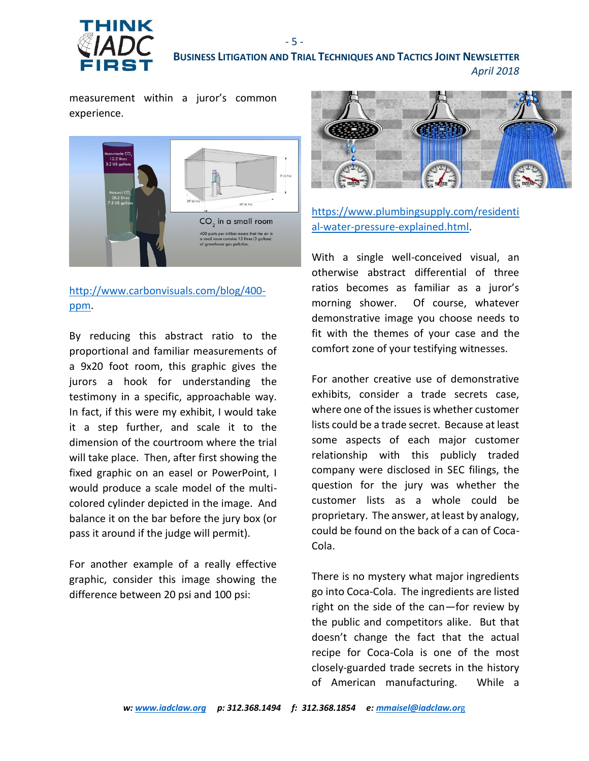

measurement within a juror's common experience.



### [http://www.carbonvisuals.com/blog/400](http://www.carbonvisuals.com/blog/400-ppm) [ppm.](http://www.carbonvisuals.com/blog/400-ppm)

By reducing this abstract ratio to the proportional and familiar measurements of a 9x20 foot room, this graphic gives the jurors a hook for understanding the testimony in a specific, approachable way. In fact, if this were my exhibit, I would take it a step further, and scale it to the dimension of the courtroom where the trial will take place. Then, after first showing the fixed graphic on an easel or PowerPoint, I would produce a scale model of the multicolored cylinder depicted in the image. And balance it on the bar before the jury box (or pass it around if the judge will permit).

For another example of a really effective graphic, consider this image showing the difference between 20 psi and 100 psi:



[https://www.plumbingsupply.com/residenti](https://www.plumbingsupply.com/residential-water-pressure-explained.html) [al-water-pressure-explained.html.](https://www.plumbingsupply.com/residential-water-pressure-explained.html)

With a single well-conceived visual, an otherwise abstract differential of three ratios becomes as familiar as a juror's morning shower. Of course, whatever demonstrative image you choose needs to fit with the themes of your case and the comfort zone of your testifying witnesses.

For another creative use of demonstrative exhibits, consider a trade secrets case, where one of the issues is whether customer lists could be a trade secret. Because at least some aspects of each major customer relationship with this publicly traded company were disclosed in SEC filings, the question for the jury was whether the customer lists as a whole could be proprietary. The answer, at least by analogy, could be found on the back of a can of Coca-Cola.

There is no mystery what major ingredients go into Coca-Cola. The ingredients are listed right on the side of the can—for review by the public and competitors alike. But that doesn't change the fact that the actual recipe for Coca-Cola is one of the most closely-guarded trade secrets in the history of American manufacturing. While a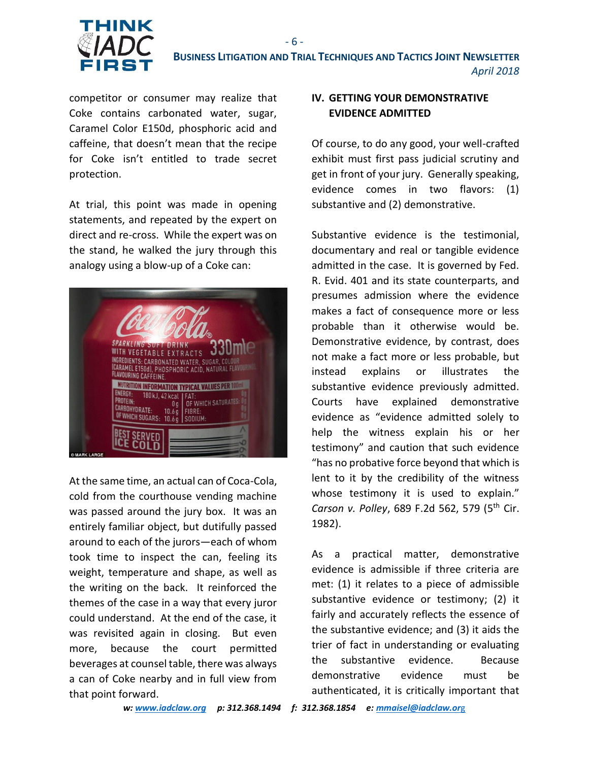

competitor or consumer may realize that Coke contains carbonated water, sugar, Caramel Color E150d, phosphoric acid and caffeine, that doesn't mean that the recipe for Coke isn't entitled to trade secret protection.

At trial, this point was made in opening statements, and repeated by the expert on direct and re-cross. While the expert was on the stand, he walked the jury through this analogy using a blow-up of a Coke can:



At the same time, an actual can of Coca-Cola, cold from the courthouse vending machine was passed around the jury box. It was an entirely familiar object, but dutifully passed around to each of the jurors—each of whom took time to inspect the can, feeling its weight, temperature and shape, as well as the writing on the back. It reinforced the themes of the case in a way that every juror could understand. At the end of the case, it was revisited again in closing. But even more, because the court permitted beverages at counsel table, there was always a can of Coke nearby and in full view from that point forward.

#### **IV. GETTING YOUR DEMONSTRATIVE EVIDENCE ADMITTED**

Of course, to do any good, your well-crafted exhibit must first pass judicial scrutiny and get in front of your jury. Generally speaking, evidence comes in two flavors: (1) substantive and (2) demonstrative.

Substantive evidence is the testimonial, documentary and real or tangible evidence admitted in the case. It is governed by Fed. R. Evid. 401 and its state counterparts, and presumes admission where the evidence makes a fact of consequence more or less probable than it otherwise would be. Demonstrative evidence, by contrast, does not make a fact more or less probable, but instead explains or illustrates the substantive evidence previously admitted. Courts have explained demonstrative evidence as "evidence admitted solely to help the witness explain his or her testimony" and caution that such evidence "has no probative force beyond that which is lent to it by the credibility of the witness whose testimony it is used to explain." *Carson v. Polley*, 689 F.2d 562, 579 (5th Cir. 1982).

As a practical matter, demonstrative evidence is admissible if three criteria are met: (1) it relates to a piece of admissible substantive evidence or testimony; (2) it fairly and accurately reflects the essence of the substantive evidence; and (3) it aids the trier of fact in understanding or evaluating the substantive evidence. Because demonstrative evidence must be authenticated, it is critically important that

*w[: www.iadclaw.org](http://www.iadclaw.org/) p: 312.368.1494 f: 312.368.1854 e: [mmaisel@iadclaw.or](mailto:mmaisel@iadclaw.org)*g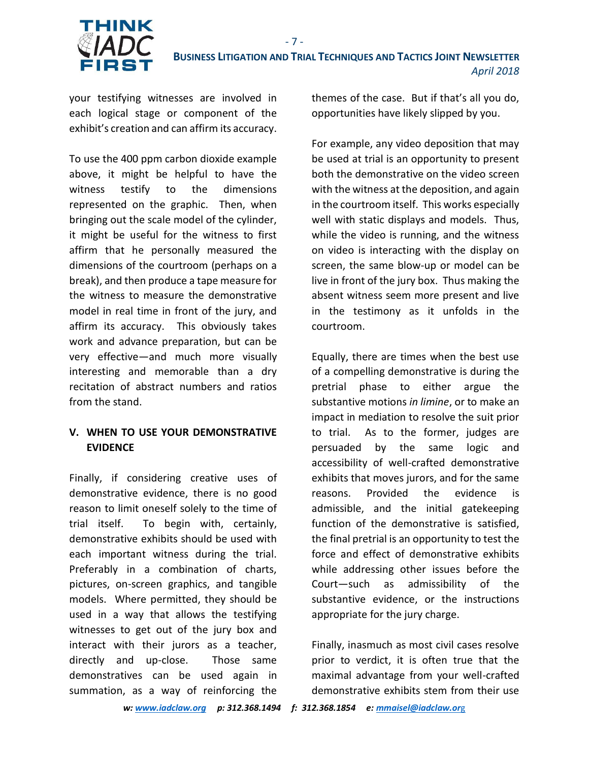

- 7 -

your testifying witnesses are involved in each logical stage or component of the exhibit's creation and can affirm its accuracy.

To use the 400 ppm carbon dioxide example above, it might be helpful to have the witness testify to the dimensions represented on the graphic. Then, when bringing out the scale model of the cylinder, it might be useful for the witness to first affirm that he personally measured the dimensions of the courtroom (perhaps on a break), and then produce a tape measure for the witness to measure the demonstrative model in real time in front of the jury, and affirm its accuracy. This obviously takes work and advance preparation, but can be very effective—and much more visually interesting and memorable than a dry recitation of abstract numbers and ratios from the stand.

#### **V. WHEN TO USE YOUR DEMONSTRATIVE EVIDENCE**

Finally, if considering creative uses of demonstrative evidence, there is no good reason to limit oneself solely to the time of trial itself. To begin with, certainly, demonstrative exhibits should be used with each important witness during the trial. Preferably in a combination of charts, pictures, on-screen graphics, and tangible models. Where permitted, they should be used in a way that allows the testifying witnesses to get out of the jury box and interact with their jurors as a teacher, directly and up-close. Those same demonstratives can be used again in summation, as a way of reinforcing the

themes of the case. But if that's all you do, opportunities have likely slipped by you.

For example, any video deposition that may be used at trial is an opportunity to present both the demonstrative on the video screen with the witness at the deposition, and again in the courtroom itself. This works especially well with static displays and models. Thus, while the video is running, and the witness on video is interacting with the display on screen, the same blow-up or model can be live in front of the jury box. Thus making the absent witness seem more present and live in the testimony as it unfolds in the courtroom.

Equally, there are times when the best use of a compelling demonstrative is during the pretrial phase to either argue the substantive motions *in limine*, or to make an impact in mediation to resolve the suit prior to trial. As to the former, judges are persuaded by the same logic and accessibility of well-crafted demonstrative exhibits that moves jurors, and for the same reasons. Provided the evidence is admissible, and the initial gatekeeping function of the demonstrative is satisfied, the final pretrial is an opportunity to test the force and effect of demonstrative exhibits while addressing other issues before the Court—such as admissibility of the substantive evidence, or the instructions appropriate for the jury charge.

Finally, inasmuch as most civil cases resolve prior to verdict, it is often true that the maximal advantage from your well-crafted demonstrative exhibits stem from their use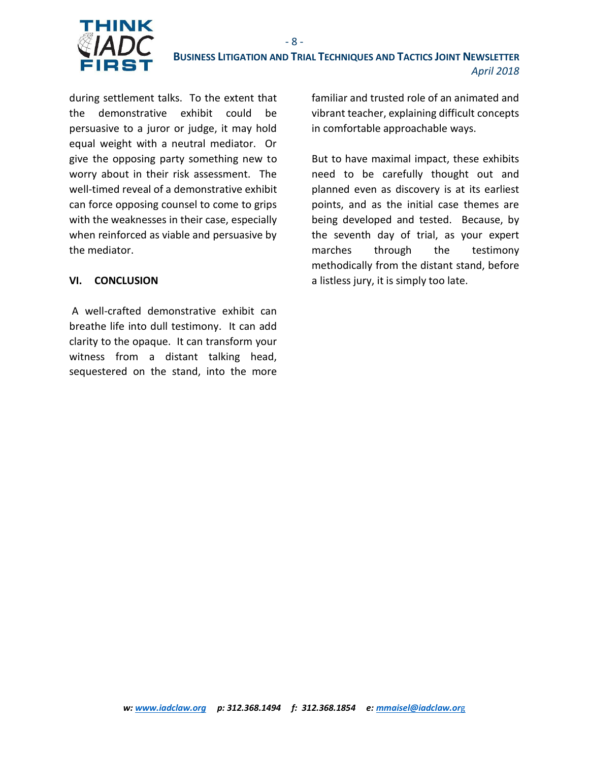

during settlement talks. To the extent that the demonstrative exhibit could be persuasive to a juror or judge, it may hold equal weight with a neutral mediator. Or give the opposing party something new to worry about in their risk assessment. The well-timed reveal of a demonstrative exhibit can force opposing counsel to come to grips with the weaknesses in their case, especially when reinforced as viable and persuasive by the mediator.

#### **VI. CONCLUSION**

A well-crafted demonstrative exhibit can breathe life into dull testimony. It can add clarity to the opaque. It can transform your witness from a distant talking head, sequestered on the stand, into the more familiar and trusted role of an animated and vibrant teacher, explaining difficult concepts in comfortable approachable ways.

But to have maximal impact, these exhibits need to be carefully thought out and planned even as discovery is at its earliest points, and as the initial case themes are being developed and tested. Because, by the seventh day of trial, as your expert marches through the testimony methodically from the distant stand, before a listless jury, it is simply too late.